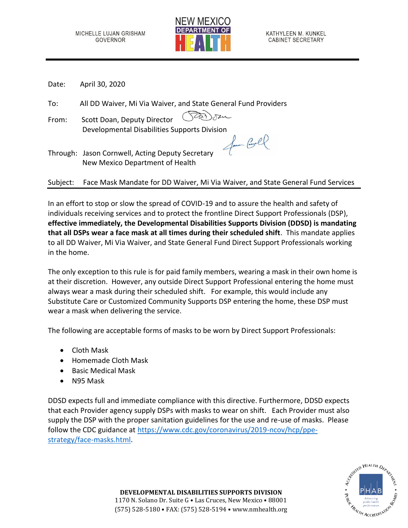

Date: April 30, 2020

To: All DD Waiver, Mi Via Waiver, and State General Fund Providers

From: Scott Doan, Deputy Director Developmental Disabilities Supports Division<br>Jacon Corresponding to the Universe of Corresponding to the Corresponding to the Corresponding to the Universe

Through: Jason Cornwell, Acting Deputy Secretary New Mexico Department of Health

Subject: Face Mask Mandate for DD Waiver, Mi Via Waiver, and State General Fund Services

In an effort to stop or slow the spread of COVID-19 and to assure the health and safety of individuals receiving services and to protect the frontline Direct Support Professionals (DSP), **effective immediately, the Developmental Disabilities Supports Division (DDSD) is mandating that all DSPs wear a face mask at all times during their scheduled shift**. This mandate applies to all DD Waiver, Mi Via Waiver, and State General Fund Direct Support Professionals working in the home.

The only exception to this rule is for paid family members, wearing a mask in their own home is at their discretion. However, any outside Direct Support Professional entering the home must always wear a mask during their scheduled shift. For example, this would include any Substitute Care or Customized Community Supports DSP entering the home, these DSP must wear a mask when delivering the service.

The following are acceptable forms of masks to be worn by Direct Support Professionals:

- Cloth Mask
- Homemade Cloth Mask
- Basic Medical Mask
- N95 Mask

DDSD expects full and immediate compliance with this directive. Furthermore, DDSD expects that each Provider agency supply DSPs with masks to wear on shift. Each Provider must also supply the DSP with the proper sanitation guidelines for the use and re-use of masks. Please follow the CDC guidance at [https://www.cdc.gov/coronavirus/2019-ncov/hcp/ppe](https://www.cdc.gov/coronavirus/2019-ncov/hcp/ppe-strategy/face-masks.html)[strategy/face-masks.html.](https://www.cdc.gov/coronavirus/2019-ncov/hcp/ppe-strategy/face-masks.html)